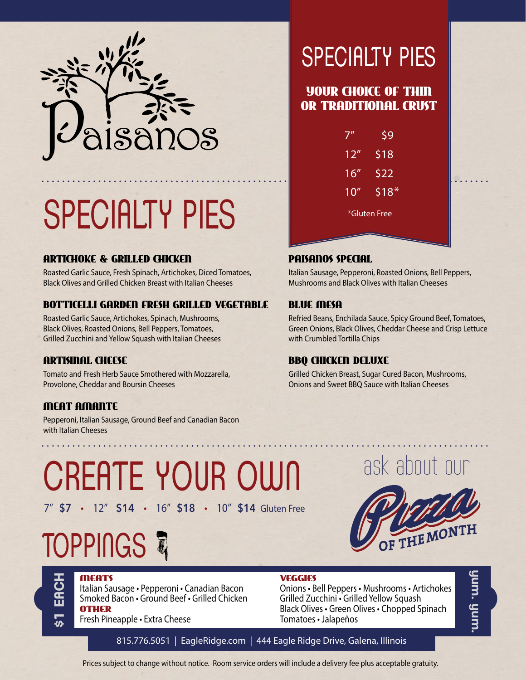

# SPECIALTY PIES

### ARTICHOKE & GRILLED CHICKEN

Roasted Garlic Sauce, Fresh Spinach, Artichokes, Diced Tomatoes, Black Olives and Grilled Chicken Breast with Italian Cheeses

### BOTTICELLI GARDEN FRESH GRILLED VEGETABLE

Roasted Garlic Sauce, Artichokes, Spinach, Mushrooms, Black Olives, Roasted Onions, Bell Peppers, Tomatoes, Grilled Zucchini and Yellow Squash with Italian Cheeses

### ARTISINAL CHEESE

Tomato and Fresh Herb Sauce Smothered with Mozzarella, Provolone, Cheddar and Boursin Cheeses

### MEAT AMANTE

Pepperoni, Italian Sausage, Ground Beef and Canadian Bacon with Italian Cheeses

### SPECIALTY PIES

### YOUR CHOICE OF THIN OR TRADITIONAL CRUST

|              | \$9    |
|--------------|--------|
| 12"          | \$18   |
| 16''         | \$22   |
| 10''         | $$18*$ |
| *Gluten Free |        |

#### PAISANOS SPECIAL

Italian Sausage, Pepperoni, Roasted Onions, Bell Peppers, Mushrooms and Black Olives with Italian Cheeses

### BLUE MESA

Refried Beans, Enchilada Sauce, Spicy Ground Beef, Tomatoes, Green Onions, Black Olives, Cheddar Cheese and Crisp Lettuce with Crumbled Tortilla Chips

#### BBQ CHICKEN DELUXE

Grilled Chicken Breast, Sugar Cured Bacon, Mushrooms, Onions and Sweet BBQ Sauce with Italian Cheeses

### CREATE YOUR OWN 7" \$7 • 12" \$14 • 16" \$18 • 10" \$14 Gluten Free

## **TOPPINGS**



### MEATS

**\$1 EACH**

 $\widetilde{\mathbf{H}}$ 

Italian Sausage • Pepperoni • Canadian Bacon Smoked Bacon • Ground Beef • Grilled Chicken OTHER

Fresh Pineapple • Extra Cheese

VEGGIES

Onions • Bell Peppers • Mushrooms • Artichokes Grilled Zucchini • Grilled Yellow Squash Black Olives • Green Olives • Chopped Spinach Tomatoes • Jalapeños

նատ նսա **yum. yum.**

815.776.5051 | EagleRidge.com | 444 Eagle Ridge Drive, Galena, Illinois

Prices subject to change without notice. Room service orders will include a delivery fee plus acceptable gratuity.